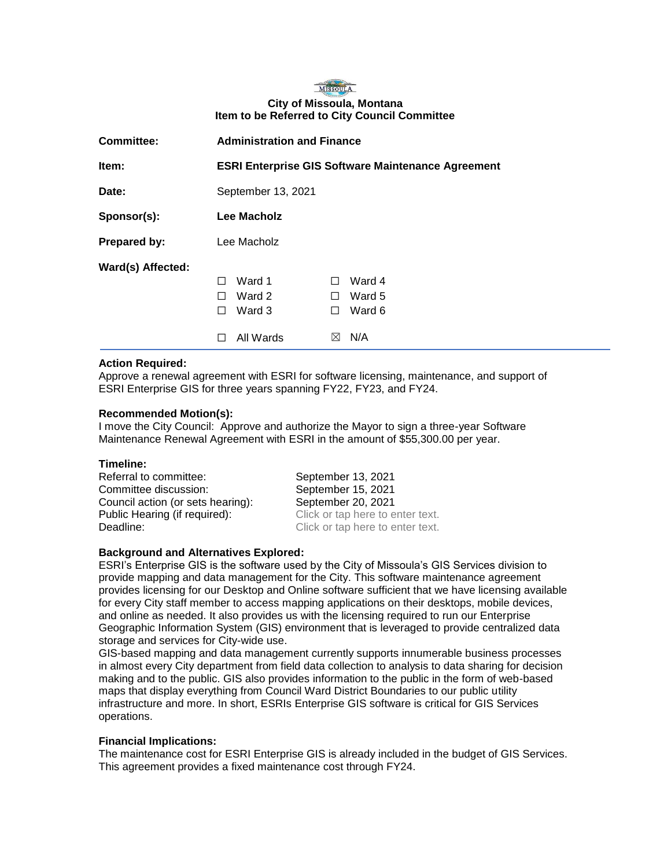# MISSOULA **City of Missoula, Montana Item to be Referred to City Council Committee**

| <b>Committee:</b> | <b>Administration and Finance</b>                         |             |        |
|-------------------|-----------------------------------------------------------|-------------|--------|
| Item:             | <b>ESRI Enterprise GIS Software Maintenance Agreement</b> |             |        |
| Date:             | September 13, 2021                                        |             |        |
| Sponsor(s):       | Lee Macholz                                               |             |        |
| Prepared by:      | Lee Macholz                                               |             |        |
| Ward(s) Affected: |                                                           |             |        |
|                   | Ward 1<br>П                                               | П           | Ward 4 |
|                   | Ward 2<br>$\mathsf{L}$                                    | П           | Ward 5 |
|                   | Ward 3<br>$\perp$                                         | H           | Ward 6 |
|                   | All Wards                                                 | $\boxtimes$ | N/A    |

## **Action Required:**

Approve a renewal agreement with ESRI for software licensing, maintenance, and support of ESRI Enterprise GIS for three years spanning FY22, FY23, and FY24.

### **Recommended Motion(s):**

I move the City Council: Approve and authorize the Mayor to sign a three-year Software Maintenance Renewal Agreement with ESRI in the amount of \$55,300.00 per year.

#### **Timeline:**

Referral to committee: September 13, 2021 Committee discussion: September 15, 2021 Council action (or sets hearing): September 20, 2021 Public Hearing (if required): Click or tap here to enter text. Deadline: Click or tap here to enter text.

#### **Background and Alternatives Explored:**

ESRI's Enterprise GIS is the software used by the City of Missoula's GIS Services division to provide mapping and data management for the City. This software maintenance agreement provides licensing for our Desktop and Online software sufficient that we have licensing available for every City staff member to access mapping applications on their desktops, mobile devices, and online as needed. It also provides us with the licensing required to run our Enterprise Geographic Information System (GIS) environment that is leveraged to provide centralized data storage and services for City-wide use.

GIS-based mapping and data management currently supports innumerable business processes in almost every City department from field data collection to analysis to data sharing for decision making and to the public. GIS also provides information to the public in the form of web-based maps that display everything from Council Ward District Boundaries to our public utility infrastructure and more. In short, ESRIs Enterprise GIS software is critical for GIS Services operations.

## **Financial Implications:**

The maintenance cost for ESRI Enterprise GIS is already included in the budget of GIS Services. This agreement provides a fixed maintenance cost through FY24.